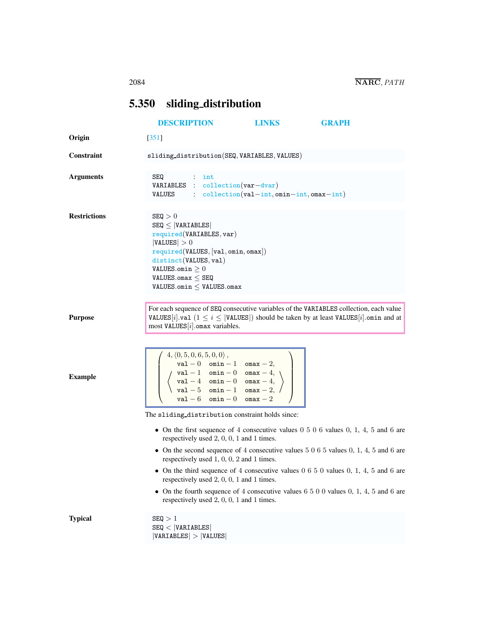## <span id="page-0-0"></span>5.350 sliding distribution

|                     | <b>DESCRIPTION</b>                                                                                                                                                                                                                                                                                                                                                   | <b>LINKS</b>                                                          | <b>GRAPH</b>                                                                                                                                                                            |
|---------------------|----------------------------------------------------------------------------------------------------------------------------------------------------------------------------------------------------------------------------------------------------------------------------------------------------------------------------------------------------------------------|-----------------------------------------------------------------------|-----------------------------------------------------------------------------------------------------------------------------------------------------------------------------------------|
| Origin              | $[351]$                                                                                                                                                                                                                                                                                                                                                              |                                                                       |                                                                                                                                                                                         |
| <b>Constraint</b>   | sliding_distribution(SEQ, VARIABLES, VALUES)                                                                                                                                                                                                                                                                                                                         |                                                                       |                                                                                                                                                                                         |
| <b>Arguments</b>    | SEQ<br>$:$ int<br>$VARIABLES : collection(var-dvar)$<br>VALUES                                                                                                                                                                                                                                                                                                       | $\text{collection}(val-{\text{int}},\text{omin-int},\text{omax-int})$ |                                                                                                                                                                                         |
| <b>Restrictions</b> | SEQ > 0<br>$SEQ \leq  VARIABLES $<br>required(VARIABLES, var)<br> VALUES  > 0<br>required(VALUES, [val, omin, omax])<br>distinct(VALUES, val)<br>VALUES.omin $\geq 0$<br>VALUES.omax $\leq$ SEQ<br>$VALUES.$ omin $\leq$ VALUES.omax                                                                                                                                 |                                                                       |                                                                                                                                                                                         |
| <b>Purpose</b>      | most VALUES $[i]$ omax variables.                                                                                                                                                                                                                                                                                                                                    |                                                                       | For each sequence of SEQ consecutive variables of the VARIABLES collection, each value<br>VALUES [i]. val $(1 \le i \le  $ VALUES]) should be taken by at least VALUES [i]. omin and at |
| <b>Example</b>      | $4, \langle 0, 5, 0, 6, 5, 0, 0 \rangle$ ,<br>$\begin{array}{c} \text{val} - 0 \quad \text{omin} - 1 \quad \text{onax} - 2, \\ \text{val} - 1 \quad \text{omin} - 0 \quad \text{onax} - 4, \\ \text{val} - 4 \quad \text{omin} - 0 \quad \text{onax} - 4, \\ \text{val} - 5 \quad \text{omin} - 1 \quad \text{onax} - 2, \end{array}$<br>$val - 6$ omin - 0 omax - 2 |                                                                       |                                                                                                                                                                                         |
|                     | The sliding distribution constraint holds since:                                                                                                                                                                                                                                                                                                                     |                                                                       |                                                                                                                                                                                         |
|                     | respectively used $2, 0, 0, 1$ and 1 times.                                                                                                                                                                                                                                                                                                                          |                                                                       | • On the first sequence of 4 consecutive values $0 5 0 6$ values $0, 1, 4, 5$ and 6 are                                                                                                 |
|                     | respectively used $1, 0, 0, 2$ and $1$ times.                                                                                                                                                                                                                                                                                                                        |                                                                       | • On the second sequence of 4 consecutive values $5065$ values 0, 1, 4, 5 and 6 are                                                                                                     |
|                     | respectively used 2, 0, 0, 1 and 1 times.                                                                                                                                                                                                                                                                                                                            |                                                                       | • On the third sequence of 4 consecutive values $0\ 6\ 5\ 0$ values $0, 1, 4, 5$ and 6 are                                                                                              |
|                     | respectively used 2, 0, 0, 1 and 1 times.                                                                                                                                                                                                                                                                                                                            |                                                                       | • On the fourth sequence of 4 consecutive values $6\ 5\ 0\ 0$ values 0, 1, 4, 5 and 6 are                                                                                               |
| <b>Typical</b>      | SEQ > 1<br>SEQ <  VARIABLES <br> VARIABLES  >  VALUES                                                                                                                                                                                                                                                                                                                |                                                                       |                                                                                                                                                                                         |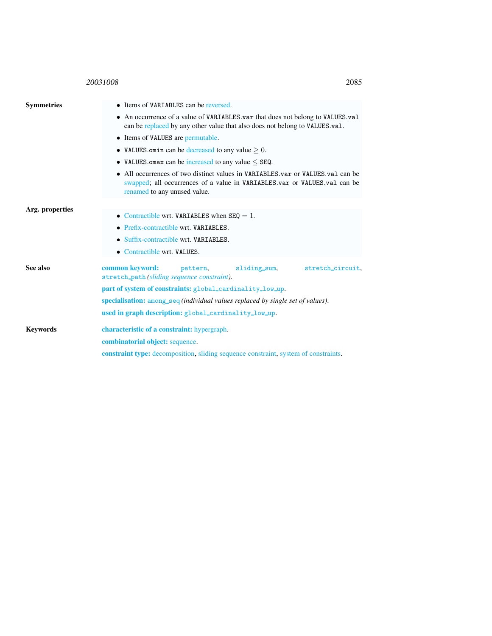## <sup>20031008</sup> 2085

<span id="page-1-0"></span>

| <b>Symmetries</b> | • Items of VARIABLES can be reversed.                                                                                                                                                         |  |  |  |  |
|-------------------|-----------------------------------------------------------------------------------------------------------------------------------------------------------------------------------------------|--|--|--|--|
|                   | • An occurrence of a value of VARIABLES var that does not belong to VALUES val<br>can be replaced by any other value that also does not belong to VALUES.val.                                 |  |  |  |  |
|                   | • Items of VALUES are permutable.                                                                                                                                                             |  |  |  |  |
|                   | • VALUES omin can be decreased to any value $> 0$ .                                                                                                                                           |  |  |  |  |
|                   | • VALUES omax can be increased to any value $\leq$ SEQ.                                                                                                                                       |  |  |  |  |
|                   | • All occurrences of two distinct values in VARIABLES, var or VALUES, val can be<br>swapped; all occurrences of a value in VARIABLES.var or VALUES.val can be<br>renamed to any unused value. |  |  |  |  |
| Arg. properties   |                                                                                                                                                                                               |  |  |  |  |
|                   | • Contractible wrt. VARIABLES when $SEQ = 1$ .                                                                                                                                                |  |  |  |  |
|                   | • Prefix-contractible wrt. VARIABLES.                                                                                                                                                         |  |  |  |  |
|                   | • Suffix-contractible wrt. VARIABLES.                                                                                                                                                         |  |  |  |  |
|                   | • Contractible wrt. VALUES.                                                                                                                                                                   |  |  |  |  |
| See also          | common keyword:<br>sliding_sum,<br>stretch_circuit.<br>pattern.<br>stretch_path(sliding sequence constraint).                                                                                 |  |  |  |  |
|                   | part of system of constraints: global_cardinality_low_up.                                                                                                                                     |  |  |  |  |
|                   | specialisation: among_seq (individual values replaced by single set of values).                                                                                                               |  |  |  |  |
|                   | used in graph description: global_cardinality_low_up.                                                                                                                                         |  |  |  |  |
| <b>Keywords</b>   | characteristic of a constraint: hypergraph.                                                                                                                                                   |  |  |  |  |
|                   | combinatorial object: sequence.                                                                                                                                                               |  |  |  |  |
|                   | <b>constraint type:</b> decomposition, sliding sequence constraint, system of constraints.                                                                                                    |  |  |  |  |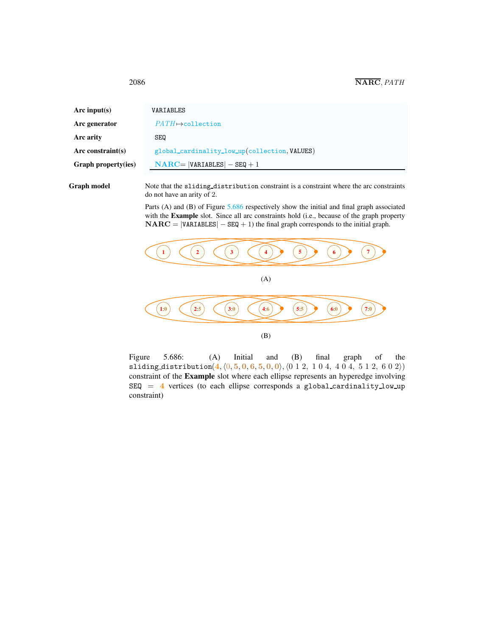<span id="page-2-0"></span>

| Arc input(s)               | VARIABLES                                     |
|----------------------------|-----------------------------------------------|
| Arc generator              | $PATH \rightarrow collection$                 |
| Arc arity                  | <b>SEQ</b>                                    |
| Arc constraint(s)          | global_cardinality_low_up(collection, VALUES) |
| <b>Graph property(ies)</b> | $NARC =  VARIABLES  - SEQ + 1$                |
|                            |                                               |

Graph model Note that the sliding distribution constraint is a constraint where the arc constraints do not have an arity of 2.

> Parts (A) and (B) of Figure [5.686](#page-2-1) respectively show the initial and final graph associated with the **Example** slot. Since all arc constraints hold (i.e., because of the graph property  $\mathbf{NARC} = |\mathbf{VARIABLES}| - \mathbf{SEQ} + 1$ ) the final graph corresponds to the initial graph.



<span id="page-2-1"></span>Figure 5.686: (A) Initial and (B) final graph of the sliding distribution $(4, \langle 0, 5, 0, 6, 5, 0, 0 \rangle, \langle 0 \ 1 \ 2, 1 \ 0 \ 4, 4 \ 0 \ 4, 5 \ 1 \ 2, 6 \ 0 \ 2 \rangle)$ constraint of the Example slot where each ellipse represents an hyperedge involving  $SEQ = 4$  vertices (to each ellipse corresponds a global cardinality low up constraint)